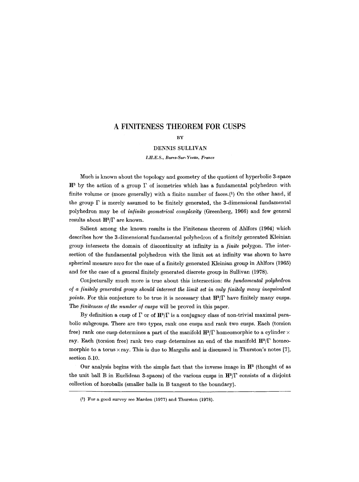# **A FINITENESS THEOREM FOR CUSPS**

## **BY**

#### DENNIS SULLIVAN

*LH.E.S., Bures-Sur-Yvette, France* 

Much is known about the topology and geometry of the quotient of hyperbolic 3-space  $H^3$  by the action of a group  $\Gamma$  of isometries which has a fundamental polyhedron with finite volume or (more generally) with a finite number of faces. $(1)$  On the other hand, if the group  $\Gamma$  is merely assumed to be finitely generated, the 3-dimensional fundamental polyhedron may be of *in/inite geometrical complexity* (Greenberg, 1966) and few general results about  $\mathbf{H}^3/\Gamma$  are known.

Salient among the known results is the Finiteness theorem of Ahlfors (1964) which describes how the 3-dimensional fundamental polyhedron of a finitely generated Kleinian group intersects the domain of discontinuity at infinity in a */inite* polygon. The intersection of the fundamental polyhedron with the limit set at infinity was shown to have spherical measure zero for the case of a finitely generated Kleinian group in Ahlfors (1965) and for the case of a general finitely generated discrete group in Sullivan (1978).

Conjecturally much more is true about this intersection: *the fundamental polyhedron of a finitely generated group should intersect the limit set in only finitely many inequivalent points.* For this conjecture to be true it is necessary that  $H^3/\Gamma$  have finitely many cusps. The *finiteness of the number of cusps* will be proved in this paper.

By definition a cusp of  $\Gamma$  or of  $\mathbf{H}^3/\Gamma$  is a conjugacy class of non-trivial maximal parabolic subgroups. There are two types, rank one cusps and rank two cusps. Each (torsion free) rank one cusp determines a part of the manifold  $\mathbf{H}^3/\Gamma$  homeomorphic to a cylinder  $\times$ ray. Each (torsion free) rank two cusp determines an end of the manifold  $\mathbf{H}^3/\Gamma$  homeomorphic to a torus  $\times$  ray. This is due to Margulis and is discussed in Thurston's notes [7], section 5.10,

Our analysis begins with the simple fact that the inverse image in  $\mathbb{H}^3$  (thought of as the unit ball B in Euclidean 3-spaces) of the various cusps in  $\mathbf{H}^3/\Gamma$  consists of a disjoint collection of horoballs (smaller balls in B tangent to the boundary).

<sup>(1)</sup> For a good survey see Marden (1977) and Thurston (1978).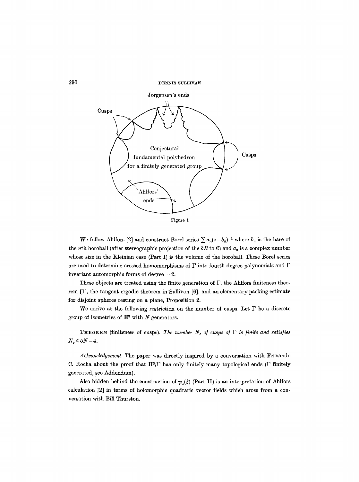

We follow Ahlfors [2] and construct Borel series  $\sum a_n(z-b_n)^{-1}$  where  $b_n$  is the base of the *n*th horoball (after stereographic projection of the  $\partial B$  to C) and  $a_n$  is a complex number whose size in the Kleinian case (Part I) is the volume of the horoball. These Borel series are used to determine crossed homomorphisms of  $\Gamma$  into fourth degree polynomials and  $\Gamma$ invariant automorphic forms of degree  $-2$ .

These objects are treated using the finite generation of  $\Gamma$ , the Ahlfors finiteness theorem [1], the tangent ergodic theorem in Sullivan [6], and an elementary packing estimate for disjoint spheres resting on a plane, Proposition 2.

We arrive at the following restriction on the number of cusps. Let  $\Gamma$  be a discrete group of isometries of  $H<sup>3</sup>$  with N generators.

THEOREM (finiteness of cusps). The number  $N_c$  of cusps of  $\Gamma$  is finite and satisfies  $N_c \le 5N-4$ .

*Acknowledgement.* The paper was directly inspired by a conversation with Fernando C. Rocha about the proof that  $\mathbf{H}^3/\Gamma$  has only finitely many topological ends ( $\Gamma$  finitely generated, see Addendum).

Also hidden behind the construction of  $\psi_{\alpha}(\xi)$  (Part II) is an interpretation of Ahlfors calculation [2] in terms of holomorphic quadratic vector fields which arose from a conversation with Bill Thurston.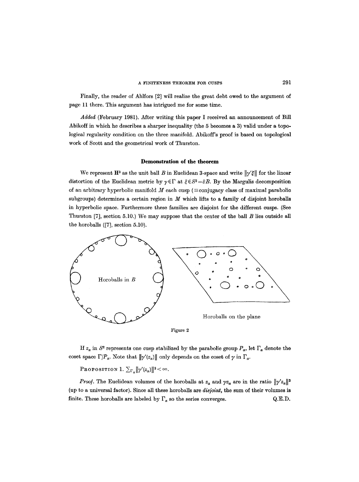#### A FINITENESS THEOREM FOR CUSPS 291

Finally, the reader of Ahlfors [2] will realize the great debt owed to the argument of page 11 there. This argument has intrigued me for some time.

*Added* (February 1981). After writing this paper I received an announcement of Bill Abikoff in which he describes a sharper inequality (the 5 becomes a 3) vahd under a topological regularity condition on the three manifold. Abikoff's proof is based on topological work of Scott and the geometrical work of Thurston.

#### **Demonstration of the theorem**

We represent  $\mathbf{H}^3$  as the unit ball B in Euclidean 3-space and write  $\|\gamma'\xi\|$  for the linear distortion of the Euclidean metric by  $\gamma \in \Gamma$  at  $\xi \in S^2 = \partial B$ . By the Margulis decomposition of an arbitrary hyperbolic manifold  $M$  each cusp ( $\equiv$ conjugacy class of maximal parabolic subgroups) determines a certain region in  $M$  which lifts to a family of disjoint horoballs in hyperbolic space. Furthermore these famihes are disjoint for the different cusps. (See Thurston [7], section 5.10.) We may suppose that the center of the ball  $B$  lies outside all the horoballs ([7], section 5.10).



If  $z_{\alpha}$  in  $S^2$  represents one cusp stabilized by the parabolic group  $P_{\alpha}$ , let  $\Gamma_{\alpha}$  denote the coset space  $\Gamma/P_\alpha$ . Note that  $\|\gamma'(z_\alpha)\|$  only depends on the coset of  $\gamma$  in  $\Gamma_\alpha$ .

PROPOSITION 1.  $\sum_{\Gamma_{\alpha}} ||\gamma'(z_{\alpha})||^3 < \infty$ .

*Proof.* The Euclidean volumes of the horoballs at  $z_{\alpha}$  and  $\gamma z_{\alpha}$  are in the ratio  $\|\gamma'z_{\alpha}\|^3$ (up to a universal factor). Since all these horoballs are *disjoint,* the sum of their volumes is finite. These horoballs are labeled by  $\Gamma_{\alpha}$  so the series converges.  $Q.E.D.$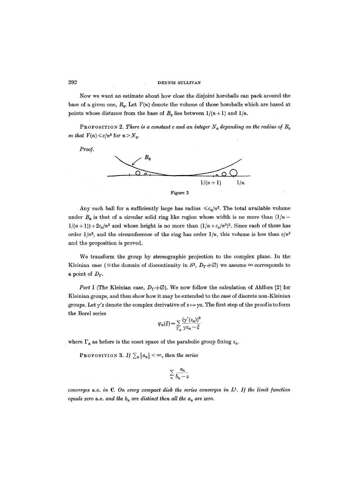#### 292 DENNIS SULLIVAN

Now we want an estimate about how close the disjoint horoballs can pack around the base of a given one,  $B_0$ . Let  $V(n)$  denote the volume of those horoballs which are based at points whose distance from the base of  $B_0$  lies between  $1/(n+1)$  and  $1/n$ .

**PROPOSITION 2. There is a constant c and an integer**  $N_0$  **depending on the radius of**  $B_0$ *so that*  $V(n) \le c/n^5$  for  $n > N_0$ .

*Proo/.* 



Any such ball for *n* sufficiently large has radius  $\leq c_0/n^2$ . The total available volume under  $B_0$  is that of a circular solid ring like region whose width is no more than  $(1/n 1/(n+1)+2c_0/n^2$  and whose height is no more than  $(1/n+c_0/n^2)^2$ . Since each of these has order  $1/n^2$ , and the circumference of the ring has order  $1/n$ , this volume is less than  $c/n^5$ and the proposition is proved.

We transform the group by stereographie projection to the complex plane. In the Kleinian case (=the domain of discontinuity in  $S^2$ ,  $D_{\Gamma} \neq \emptyset$ ) we assume  $\infty$  corresponds to a point of  $D_{\Gamma}$ .

*Part I* (The Kleinian case,  $D_{\Gamma} \neq \emptyset$ ). We now follow the calculation of Ahlfors [2] for Kleinian groups, and then show how it may be extended to the case of discrete non-Kleinian groups. Let  $\gamma'z$  denote the complex derivative of  $z \mapsto \gamma z$ . The first step of the proof is to form the Borel series

$$
\varphi_{\alpha}(\xi) = \sum_{\Gamma_{\alpha}} \frac{(\gamma'(z_{\alpha}))^3}{\gamma z_{\alpha} - \xi}
$$

where  $\Gamma_{\alpha}$  as before is the coset space of the parabolic group fixing  $z_{\alpha}$ .

PROPOSITION 3. *If*  $\sum_{n} |a_n| < \infty$ , then the series

$$
\sum_{n}\frac{a_n}{b_n-z}
$$

*converges a.e. in C. On every compact disk the series converges in*  $L^1$ *. If the limit function equals zero a.e. and the*  $b_n$  *are distinct then all the*  $a_n$  *are zero.*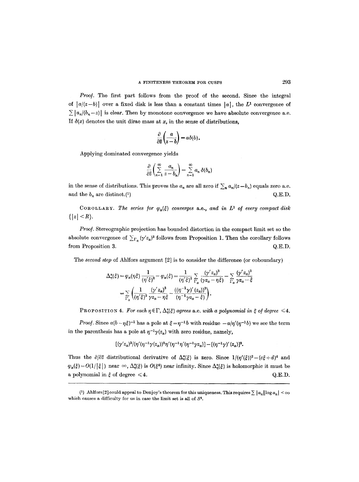*Proof.* The first part follows from the proof of the second. Since the integral of  $|a|(z-b)$  over a fixed disk is less than a constant times  $|a|$ , the L<sup>1</sup> convergence of  $\sum |a_n/(b_n-z)|$  is clear. Then by monotone convergence we have absolute convergence a.e. If  $\delta(x)$  denotes the unit dirac mass at x, in the sense of distributions,

$$
\frac{\partial}{\partial \bar{z}}\left(\frac{a}{z-b}\right) = a\delta(b).
$$

Applying dominated convergence yields

$$
\frac{\partial}{\partial \bar{z}}\left(\sum_{n=1}^{\infty}\frac{a_n}{z-b_n}\right)=\sum_{n=1}^{\infty}a_n\,\delta(b_n)
$$

in the sense of distributions. This proves the  $a_n$  are all zero if  $\sum_{n} a_n/(z-b_n)$  equals zero a.e. and the  $b_n$  are distinct.(1)  $Q.E.D.$ 

COROLLARY. The series for  $\varphi_a(\xi)$  converges a.e., and in  $L^1$  of every compact disk  $\{|z| \leq R\}.$ 

*Proof.* Stereographic projection has bounded distortion in the compact limit set so the absolute convergence of  $\sum_{\Gamma_{\alpha}} (\gamma' z_{\alpha})^3$  follows from Proposition 1. Then the corollary follows from Proposition 3. Q.E.D.

The *second step of* Ahlfors argument [2] is to consider the difference (or coboundary)

$$
\Delta_{\eta}^{z}(\xi) = \varphi_{\alpha}(\eta\xi) \frac{1}{(\eta'\xi)^{2}} - \varphi_{\alpha}(\xi) = \frac{1}{(\eta'\xi)^{2}} \sum_{\Gamma_{\alpha}} \frac{(\gamma'z_{\alpha})^{3}}{(\gamma z_{\alpha} - \eta\xi)} - \sum_{\Gamma_{\alpha}} \frac{(\gamma'z_{\alpha})^{3}}{\gamma z_{\alpha} - \xi}
$$

$$
= \sum_{\Gamma_{\alpha}} \left( \frac{1}{(\eta'\xi)^{2}} \frac{(\gamma'z_{\alpha})^{3}}{\gamma z_{\alpha} - \eta\xi} - \frac{((\eta^{-1}\gamma)'(z_{\alpha}))^{3}}{(\eta^{-1}\gamma z_{\alpha} - \xi)} \right).
$$

PROPOSITION 4. For each  $\eta \in \Gamma$ ,  $\Delta_{\eta}^{\alpha}(\xi)$  agrees a.e. with a polynomial in  $\xi$  of degree  $\leq 4$ .

*Proof.* Since  $a(b-\eta\xi)^{-1}$  has a pole at  $\xi=\eta^{-1}b$  with residue  $-a/\eta'(\eta^{-1}b)$  we see the term in the parenthesis has a pole at  $\eta^{-1}\gamma(z_\alpha)$  with zero residue, namely,

$$
[(\gamma' z_{\alpha})^3/(\eta'(\eta^{-1}\gamma(z_{\alpha}))^2\eta'(\eta^{-1}\eta'(\eta^{-1}\gamma z_{\alpha})] - [(\eta^{-1}\gamma)'(z_{\alpha})]^3].
$$

Thus the  $\partial/\partial \bar{z}$  distributional derivative of  $\Delta_n^{\alpha}(\xi)$  is zero. Since  $1/(\eta'(\xi))^2 = (c\xi + d)^4$  and  $\varphi_{\alpha}(\xi) = O(1/|\xi|)$  near  $\infty$ ,  $\Delta_{\eta}^{\alpha}(\xi)$  is  $O(\xi^4)$  near infinity. Since  $\Delta_{\eta}^{\alpha}(\xi)$  is holomorphic it must be a polynomial in  $\xi$  of degree  $\leq 4$ .<br>Q.E.D.

<sup>(1)</sup> Ahlfors [2] could appeal to Denjoy's theorem for this uniqueness. This requires  $\sum |a_n||\log a_n| < \infty$ which causes a difficulty for us in case the limit set is all of  $S<sup>2</sup>$ .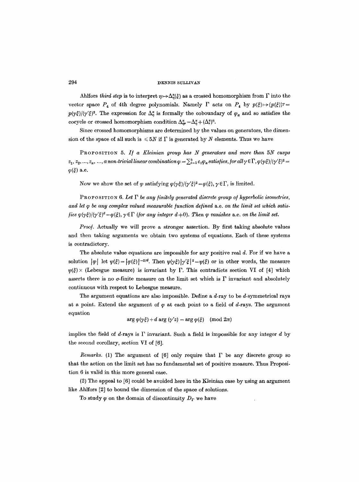#### 294 DENNIS SULLIVAN

Ahlfors *third step* is to interpret  $\eta \mapsto \Delta_n^{\omega}(\xi)$  as a crossed homomorphism from  $\Gamma$  into the vector space  $P_4$  of 4th degree polynomials. Namely  $\Gamma$  acts on  $P_4$  by  $p(\xi) \mapsto (p(\xi))^{\gamma} =$  $p(y\xi)/(y'\xi)^2$ . The expression for  $\Delta_n^{\alpha}$  is formally the coboundary of  $\varphi_{\alpha}$  and so satisfies the cocycle or crossed homomorphism condition  $\Delta^{\alpha}_{nr} = \Delta^{\alpha}_{n} + (\Delta^{\alpha}_{r})^n$ .

Since crossed homomorphisms are determined by the values on generators, the dimension of the space of all such is  $\leq 5N$  if  $\Gamma$  is generated by N elements. Thus we have

PROPOSITION 5. If a *Kleinian group has N generators and more than* 5N cusps  $z_1, z_2, ..., z_\alpha, ..., a$  non-trivial linear combination  $\varphi = \sum_{i=1}^k c_i \varphi_\alpha$  satisfies, for all  $\gamma \in \Gamma$ ,  $\varphi(\gamma \xi) / (\gamma' \xi)^2$  =  $\varphi(\xi)$  a.e.

Now we show the set of  $\varphi$  satisfying  $\varphi(\gamma\xi)/(\gamma'\xi)^2 = \varphi(\xi), \gamma \in \Gamma$ , is limited.

**PROPOSITION 6. Let**  $\Gamma$  **be any finitely generated discrete group of hyperbolic isometries,** *and let q~ be any complex valued measurable/unction de/ined* a.e. *on the limit set which saris. fies*  $\varphi(\gamma \xi)/(\gamma' \xi)^d = \varphi(\xi), \gamma \in \Gamma$  (for any integer  $d \neq 0$ ). Then  $\varphi$  vanishes a.e. on the limit set.

*Proo].* Actually we wilI prove a stronger assertion. By first taking absolute values and then taking arguments we obtain two systems of equations. Each of these systems is contradictory.

The absolute value equations are impossible for any positive real  $d$ . For if we have a solution  $|\varphi|$  let  $\psi(\xi) = |\varphi(\xi)|^{-2/d}$ . Then  $\psi(\gamma\xi)|\gamma'\xi|^2 = \psi(\xi)$  or in other words, the measure  $\psi(\xi)$  / (Lebesgue measure) is invariant by  $\Gamma$ . This contradicts section VI of [4] which asserts there is no  $\sigma$ -finite measure on the limit set which is  $\Gamma$  invariant and absolutely continuous with respect to Lebesgue measure.

The argument equations are also impossible. Define a d-ray to be d-symmetrical rays at a point. Extend the argument of  $\varphi$  at each point to a field of d-rays. The argument equation

$$
\arg \varphi(\gamma\xi) + d \arg (\gamma'z) = \arg \varphi(\xi) \pmod{2\pi}
$$

implies the field of  $d$ -rays is  $\Gamma$  invariant. Such a field is impossible for any integer  $d$  by the second corollary, section VI of [6].

*Remarks.* (1) The argument of [6] only require that  $\Gamma$  be any discrete group so that the action on the limit set has no fundamental set of positive measure. Thus Proposition 6 is valid in this more general case.

(2) The appeal to [6] could be avoided here in the Kleinian case by using an argument like Ahlfors [2] to bound the dimension of the space of solutions.

To study  $\varphi$  on the domain of discontinuity  $D_{\Gamma}$  we have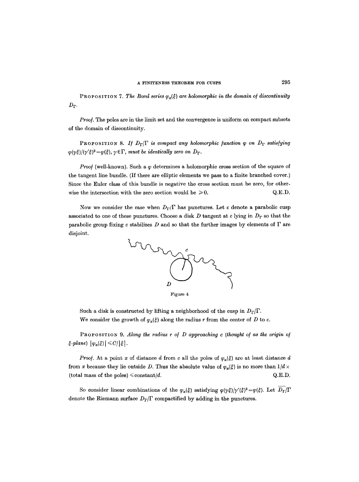PROPOSITION 7. The Borel series  $\varphi_a(\xi)$  are holomorphic in the domain of discontinuity  $D_{\Gamma}$ .

*Proof.* The poles are in the limit set and the convergence is uniform on compact subsets of the domain of discontinuity.

PROPOSITION 8. If  $D_{\Gamma}/\Gamma$  is compact any holomorphic function  $\varphi$  on  $D_{\Gamma}$  satisfying  $-\frac{\varphi(\gamma\xi)}{(\gamma'\xi)^2}=\varphi(\xi), \gamma \in \Gamma$ , *must be identically zero on D*<sub> $\Gamma$ </sub>.

*Proof* (well-known). Such a  $\varphi$  determines a holomorphic cross section of the square of the tangent line bundle. (If there are elliptic elements we pass to a finite branched cover.) Since the Euler class of this bundle is negative the cross section must be zero, for otherwise the intersection with the zero section would be  $\geq 0$ . Q.E.D.

Now we consider the case when  $D_{\Gamma}/\Gamma$  has punctures. Let c denote a parabolic cusp associated to one of these punctures. Choose a disk D tangent at c lying in  $D_{\Gamma}$  so that the parabolic group fixing c stabilizes  $D$  and so that the further images by elements of  $\Gamma$  are disjoint.



Such a disk is constructed by lifting a neighborhood of the cusp in  $D_{\Gamma}/\Gamma$ . We consider the growth of  $\varphi_{\alpha}(\xi)$  along the radius r from the center of D to c.

PROPOSITION 9. *Along the radius r of D approaching c (thought of as the origin of*  $\vert \xi\text{-plane} \rangle \, \big\vert \varphi_\alpha(\xi) \big\vert \leq C/\vert \xi \vert$ .

*Proof.* At a point x of distance d from c all the poles of  $\varphi_{\alpha}(\xi)$  are at least distance d from x because they lie outside D. Thus the absolute value of  $\varphi_{\alpha}(\xi)$  is no more than  $1/d \times$ (total mass of the poles)  $\leq$  constant/d.  $Q.E.D.$ 

So consider linear combinations of the  $\varphi_{\alpha}(\xi)$  satisfying  $\varphi(\gamma \xi)/\gamma'(\xi)^2 = \varphi(\xi)$ . Let  $\overline{D_{\Gamma}}/\Gamma$ denote the Riemann surface  $D_{\Gamma}/\Gamma$  compactified by adding in the punctures.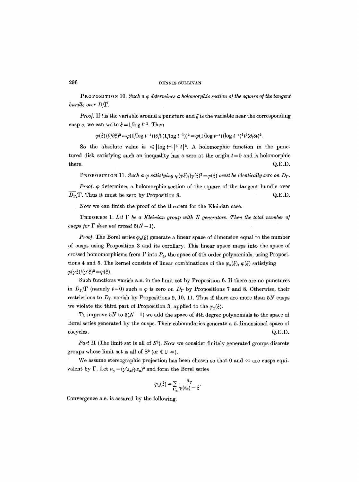# 296 DENNIS SITLLIVAN

PROPOSITION 10. Such a  $\varphi$  determines a holomorphic section of the square of the tangent *bundle over D/F.* 

*Proof.* If t is the variable around a puncture and  $\xi$  is the variable near the corresponding cusp c, we can write  $\xi = 1/\log t^{-1}$ . Then

 $\varphi(\xi) (\partial/\partial \xi)^2 = \varphi(1/\log t^{-1}) (\partial/\partial (1/\log t^{-1}))^2 = \varphi(1/\log t^{-1}) (\log t^{-1})^4 t^2 (\partial/\partial t)^2.$ 

So the absolute value is  $\leqslant |\log t^{-1}|^{5} |t|^{2}$ . A holomorphic function in the punctured disk satisfying such an inequality has a zero at the origin  $t = 0$  and is holomorphic there.  $Q.E.D.$ 

**PROPOSITION 11. Such a**  $\varphi$  **satisfying**  $\varphi(\gamma\xi)/(\gamma'\xi)^2 = \varphi(\xi)$ *must be identically zero on* $D_{\Gamma}$ **.** 

*Proof.*  $\varphi$  determines a holomorphic section of the square of the tangent bundle over  $D_{\Gamma}/\Gamma$ . Thus it must be zero by Proposition 8.  $Q.E.D.$ 

Now we can finish the proof of the theorem for the Kleinian case.

 $THEOREM 1. Let  $\Gamma$  be a Kleinian group with N generators. Then the total number of$ *cusps for*  $\Gamma$  *does not exceed*  $5(N-1)$ .

*Proof.* The Borel series  $\varphi_{\alpha}(\xi)$  generate a linear space of dimension equal to the number of cusps using Proposition 3 and its corollary. This linear space maps into the space of crossed homomorphisms from  $\Gamma$  into  $P_4$ , the space of 4th order polynomials, using Propositions 4 and 5. The kernel consists of linear combinations of the  $\varphi_{\alpha}(\xi), \varphi(\xi)$  satisfying  $\varphi(\gamma\xi)/(\gamma'\xi)^2 = \varphi(\xi).$ 

Such functions vanish a.e. in the limit set by Proposition 6. If there are no punctures in  $D_{\Gamma}/\Gamma$  (namely  $t=0$ ) such a  $\varphi$  is zero on  $D_{\Gamma}$  by Propositions 7 and 8. Otherwise, their restrictions to  $D_{\Gamma}$  vanish by Propositions 9, 10, 11. Thus if there are more than 5N cusps we violate the third part of Proposition 3; applied to the  $\varphi_{\alpha}(\xi)$ .

To improve 5N to  $5(N-1)$  we add the space of 4th degree polynomials to the space of Borel series generated by the cusps. Their coboundaries generate a 5-dimensional space of  $\rm_{Q.E.D.}$ 

*Part II* (The limit set is all of  $S^2$ ). Now we consider finitely generated groups discrete groups whose limit set is all of  $S^2$  (or  $C \cup \infty$ ).

We assume stereographic projection has been chosen so that 0 and  $\infty$  are cusps equivalent by  $\Gamma$ . Let  $a_{\gamma} = (\gamma' z_{\alpha}/\gamma z_{\alpha})^3$  and form the Borel series

$$
\varphi_{\alpha}(\xi) = \sum_{\Gamma_{\alpha}} \frac{a_{\gamma}}{\gamma(z_{\alpha}) - \xi}.
$$

Convergence a.e. is assured by the following.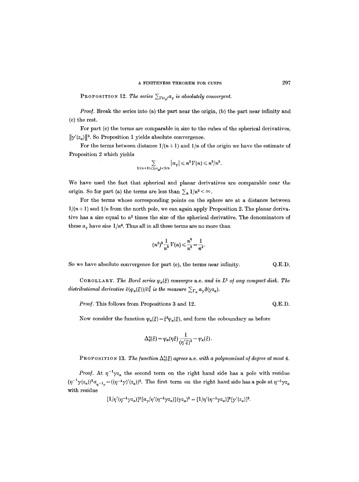**PROPOSITION 12.** The series  $\sum_{\Gamma(z_{\alpha})} a_{\gamma}$  is absolutely convergent.

*Proof.* Break the series into (a) the part near the origin, (b) the part near infinity and (c) the rest.

For part (c) the terms are comparable in size to the cubes of the spherical derivatives,  $\|\gamma'(z_{\alpha})\|^3$ . So Proposition 1 yields absolute convergence.

For the terms between distance  $1/(n+1)$  and  $1/n$  of the origin we have the estimate of Proposition 2 which yields

$$
\sum_{1/(n+1)\leqslant |\gamma z_{\alpha}|<1/n} |a_{\gamma}| \leqslant n^3V(n) \leqslant n^3/n^5.
$$

We have used the fact that spherical and planar derivatives are comparable near the origin. So for part (a) the terms are less than  $\sum_{n} 1/n^2 < \infty$ .

For the terms whose corresponding points on the sphere are at a distance between  $1/(n+1)$  and  $1/n$  from the north pole, we can again apply Proposition 2. The planar derivative has a size equal to  $n^2$  times the size of the spherical derivative. The denominators of these  $a_{\gamma}$  have size  $1/n^3$ . Thus all in all these terms are no more than

$$
(n^2)^3 \frac{1}{n^3} V(n) \leqslant \frac{n^6}{n^8} = \frac{1}{n^2}.
$$

So we have absolute convergence for part (c), the terms near infinity. Q.E.D.

COROLLARY. The Borel series  $\varphi_a(\xi)$  converges a.e. and in  $L^1$  of any compact disk. The *distributional derivative*  $\partial(\varphi_{\alpha}(\xi))|\partial \xi$  *is the measure*  $\sum_{\Gamma_{\alpha}} a_{\gamma} \delta(\gamma z_{\alpha})$ .

*Proof.* This follows from Propositions 3 and 12.  $Q.E.D.$ 

Now consider the function  $\psi_{\alpha}(\xi) = \xi^3 \varphi_{\alpha}(\xi)$ , and form the coboundary as before

$$
\Delta_{\eta}^{\alpha}(\xi) = \psi_{\alpha}(\eta \xi) \frac{1}{(\eta' \xi)^2} - \psi_{\alpha}(\xi).
$$

**PROPOSITION 13.** The function  $\Delta_n^{\alpha}(\xi)$  agrees a.e. with a polynominal of degree at most 4.

*Proof.* At  $\eta^{-1}\gamma z_{\alpha}$  the second term on the right hand side has a pole with residue  $(\eta^{-1}\gamma(z_\alpha))^3 a_{\eta^{-1}\gamma} = ((\eta^{-1}\gamma)'(z_\alpha))^3$ . The first term on the right hand side has a pole at  $\eta^{-1}\gamma z_\alpha$ with residue

$$
[1/\eta'(\eta^{-1}\gamma z_{\alpha})]^2[a_{\gamma}/\eta'(\eta^{-1}\gamma z_{\alpha})](\gamma z_{\alpha})^3 = [1/\eta'(\eta^{-1}\gamma z_{\alpha})]^3[\gamma'(z_{\alpha})]^3
$$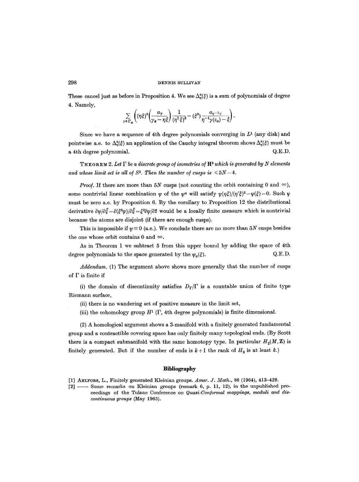#### 298 DENNIS SULLIVAN

These cancel just as before in Proposition 4. We see  $\Delta_n^{\alpha}(\xi)$  is a sum of polynomials of degree 4. Namely,

$$
\sum_{\gamma \in \Gamma_{\alpha}} \left( (\eta \xi)^{3} \left( \frac{a_{\gamma}}{\gamma_{\alpha} - \eta \xi} \right) \frac{1}{(\eta^{1} \xi)^{2}} - (\xi^{3}) \frac{a_{\eta} - 1_{\gamma}}{\eta^{-1} \gamma(z_{\alpha}) - \xi} \right).
$$

Since we have a sequence of 4th degree polynomials converging in  $L<sup>1</sup>$  (any disk) and pointwise a.e. to  $\Delta_n^{\alpha}(\xi)$  an application of the Cauchy integral theorem shows  $\Delta_n^{\alpha}(\xi)$  must be a 4th degree polynomial. Q.E.D.

**THEOREM 2.** Let  $\Gamma$  be a discrete group of isometries of  $\mathbf{H}^3$  which is generated by N elements and whose limit set is all of  $S^2$ . Then the number of cusps is  $\leq 5N-4$ .

*Proof.* If there are more than 5N cusps (not counting the orbit containing 0 and  $\infty$ ), some nontrivial linear combination  $\psi$  of the  $\psi^{\alpha}$  will satisfy  $\psi(\eta\xi)/(\eta'\xi)^2 - \psi(\xi) = 0$ . Such  $\psi$ must be zero a.e. by Proposition 6. By the corollary to Proposition 12 the distributional derivative  $\partial \psi/\partial \bar{\xi} = \partial (\xi^3 \varphi)/\partial \bar{\xi} = \xi^3 \partial \varphi/\partial \bar{z}$  would be a locally finite measure which is nontrivial because the atoms are disjoint (if there are enough cusps).

This is impossible if  $\psi = 0$  (a.e.). We conclude there are no more than 5N cusps besides the one whose orbit contains 0 and  $\infty$ .

As in Theorem 1 we subtract 5 from this upper bound by adding the space of 4th degree polynomials to the space generated by the  $\psi_{\alpha}(\xi)$ . Q.E.D.

*Addendum.* (1) The argument above shows more generally that the number of cusps of  $\Gamma$  is finite if

(i) the domain of discontinuity satisfies  $D_{\Gamma}/\Gamma$  is a countable union of finite type Riemann surface,

- (ii) there is no wandering set of positive measure in the limit set,
- (iii) the cohomology group  $H^1(\Gamma)$ , 4th degree polynomials) is finite dimensional.

(2) A homological argument shows a 3-manifold with a finitely generated fundamental group and a contractible covering space has only finitely many topological ends. (By Scott there is a compact submanifold with the same homotopy type. In particular  $H_2(M, \mathbf{Z})$  is finitely generated. But if the number of ends is  $k+1$  the rank of  $H_2$  is at least k.)

#### **Bibfiography**

- [1] AHLFORS, L., Finitely generated Kleinian groups. *Amer. J. Math.,* 86 (1964), 413-429.
- [2] -- Some remarks on Kleinian groups (remark 6, p. 11, 12), in the unpublished proceedings of the Tulane Conference on *Quasi-Conformal mappings, moduli and discontinuous groups* (May 1965).